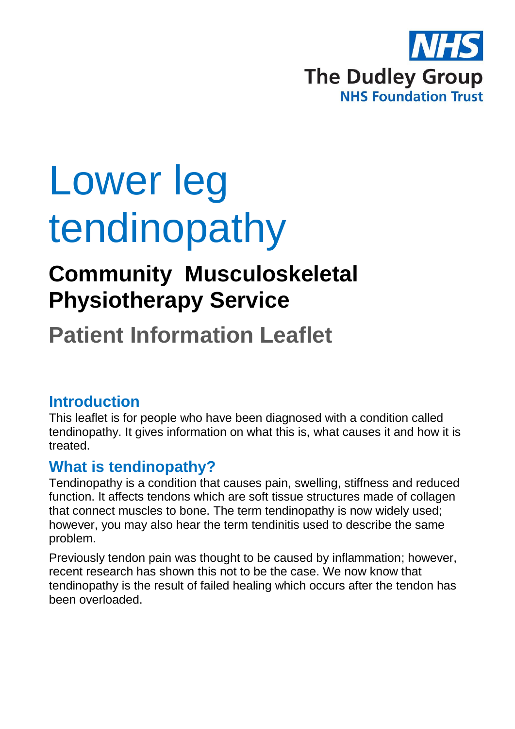

# Lower leg tendinopathy

# **Community Musculoskeletal Physiotherapy Service**

# **Patient Information Leaflet**

## **Introduction**

This leaflet is for people who have been diagnosed with a condition called tendinopathy. It gives information on what this is, what causes it and how it is treated.

## **What is tendinopathy?**

Tendinopathy is a condition that causes pain, swelling, stiffness and reduced function. It affects tendons which are soft tissue structures made of collagen that connect muscles to bone. The term tendinopathy is now widely used; however, you may also hear the term tendinitis used to describe the same problem.

Previously tendon pain was thought to be caused by inflammation; however, recent research has shown this not to be the case. We now know that tendinopathy is the result of failed healing which occurs after the tendon has been overloaded.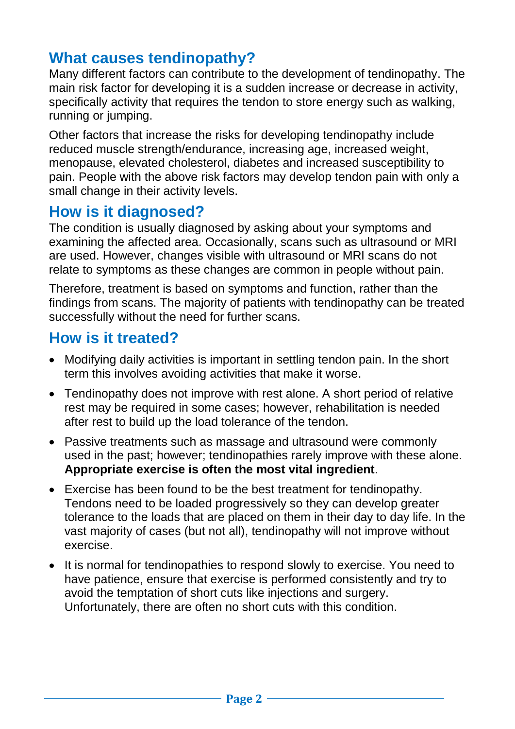## **What causes tendinopathy?**

Many different factors can contribute to the development of tendinopathy. The main risk factor for developing it is a sudden increase or decrease in activity, specifically activity that requires the tendon to store energy such as walking, running or jumping.

Other factors that increase the risks for developing tendinopathy include reduced muscle strength/endurance, increasing age, increased weight, menopause, elevated cholesterol, diabetes and increased susceptibility to pain. People with the above risk factors may develop tendon pain with only a small change in their activity levels.

#### **How is it diagnosed?**

The condition is usually diagnosed by asking about your symptoms and examining the affected area. Occasionally, scans such as ultrasound or MRI are used. However, changes visible with ultrasound or MRI scans do not relate to symptoms as these changes are common in people without pain.

Therefore, treatment is based on symptoms and function, rather than the findings from scans. The majority of patients with tendinopathy can be treated successfully without the need for further scans.

### **How is it treated?**

- Modifying daily activities is important in settling tendon pain. In the short term this involves avoiding activities that make it worse.
- Tendinopathy does not improve with rest alone. A short period of relative rest may be required in some cases; however, rehabilitation is needed after rest to build up the load tolerance of the tendon.
- Passive treatments such as massage and ultrasound were commonly used in the past; however; tendinopathies rarely improve with these alone. **Appropriate exercise is often the most vital ingredient**.
- Exercise has been found to be the best treatment for tendinopathy. Tendons need to be loaded progressively so they can develop greater tolerance to the loads that are placed on them in their day to day life. In the vast majority of cases (but not all), tendinopathy will not improve without exercise.
- It is normal for tendinopathies to respond slowly to exercise. You need to have patience, ensure that exercise is performed consistently and try to avoid the temptation of short cuts like injections and surgery. Unfortunately, there are often no short cuts with this condition.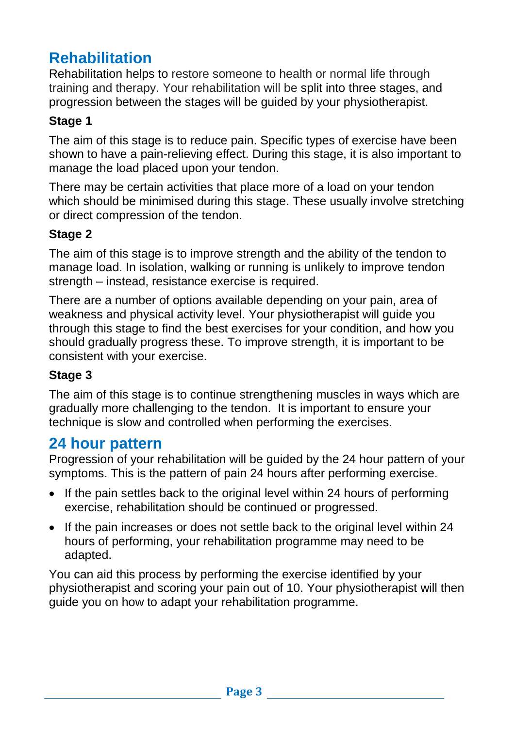# **Rehabilitation**

Rehabilitation helps to restore someone to health or normal life through training and therapy. Your rehabilitation will be split into three stages, and progression between the stages will be guided by your physiotherapist.

#### **Stage 1**

The aim of this stage is to reduce pain. Specific types of exercise have been shown to have a pain-relieving effect. During this stage, it is also important to manage the load placed upon your tendon.

There may be certain activities that place more of a load on your tendon which should be minimised during this stage. These usually involve stretching or direct compression of the tendon.

#### **Stage 2**

The aim of this stage is to improve strength and the ability of the tendon to manage load. In isolation, walking or running is unlikely to improve tendon strength – instead, resistance exercise is required.

There are a number of options available depending on your pain, area of weakness and physical activity level. Your physiotherapist will guide you through this stage to find the best exercises for your condition, and how you should gradually progress these. To improve strength, it is important to be consistent with your exercise.

#### **Stage 3**

The aim of this stage is to continue strengthening muscles in ways which are gradually more challenging to the tendon. It is important to ensure your technique is slow and controlled when performing the exercises.

#### **24 hour pattern**

Progression of your rehabilitation will be guided by the 24 hour pattern of your symptoms. This is the pattern of pain 24 hours after performing exercise.

- If the pain settles back to the original level within 24 hours of performing exercise, rehabilitation should be continued or progressed.
- If the pain increases or does not settle back to the original level within 24 hours of performing, your rehabilitation programme may need to be adapted.

You can aid this process by performing the exercise identified by your physiotherapist and scoring your pain out of 10. Your physiotherapist will then guide you on how to adapt your rehabilitation programme.